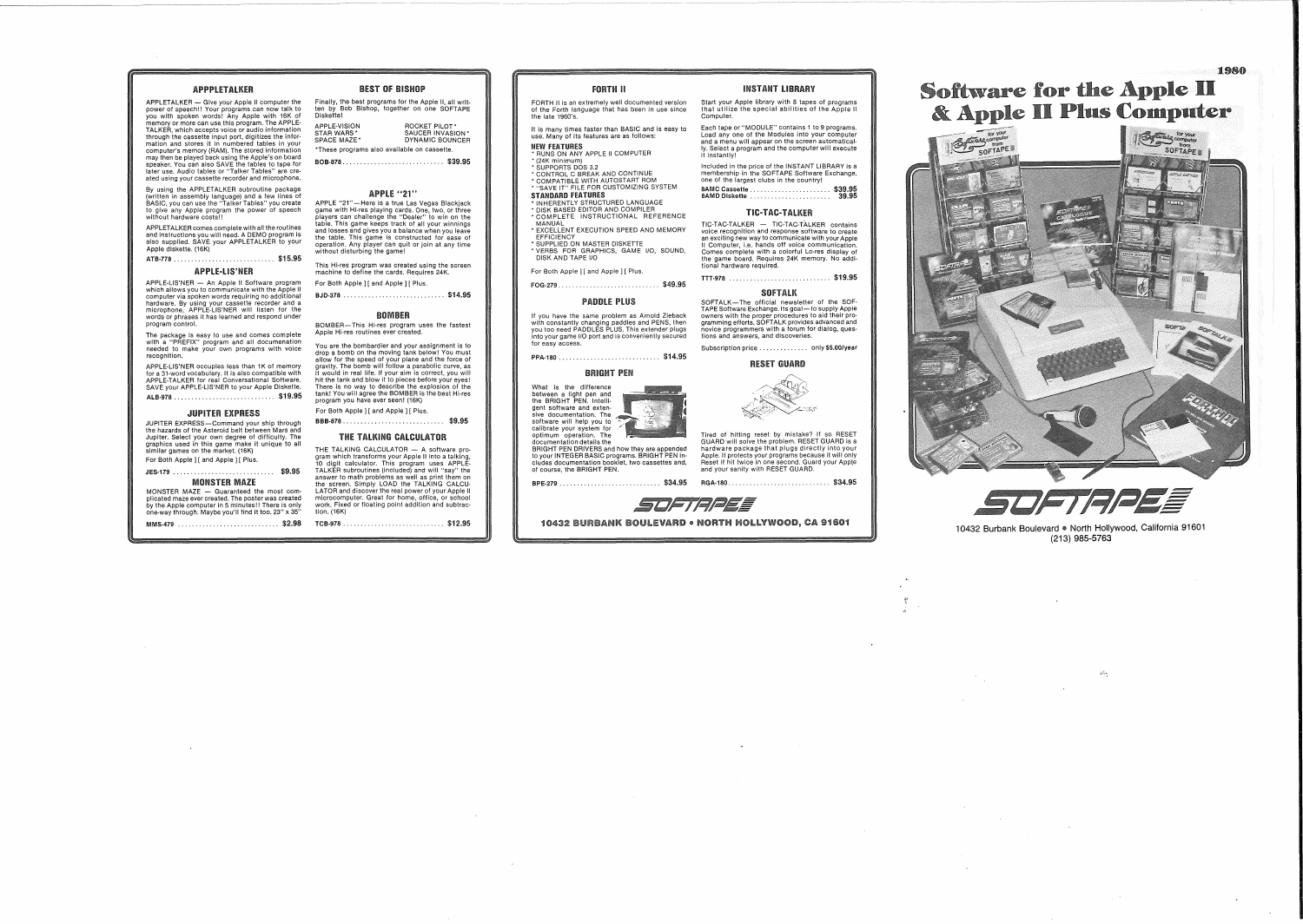# APPPLETALKER

APPLETALKER - Give your Apple II computer the power of speech!! Your programs can now talk to you with spoken words! Any Apple with 16K of memory or more can use this program. The APPLE· TALKER, which accepts voice or audio information through the cassette input port, digitizes the information and stores it in numbered tables in your<br>computer's memory (RAM). The stored information<br>may then be played back using the Apple's on board<br>speaker. You can also S later use. Audio tables or "Talker Tables" are ere· ated using your cassette recorder and microphone.

By using the APPLETALKER subroutine package (written in assembly language) and a few lines of BASIC, you can use the "Talker Tables" you create to give any Apple program the power of speech without hardware costs!!

APPLETALKER comes complete with all the routines and instructions you will need. A DEMO program is also supplied. SAVE your APPLETALKER to your Apple diskette. (16K)

ATB·778 \$15.95

APPLE-lIS'NER

APPLE-LIS'NER — An Apple II Software program<br>which allows you to communicate with the Apple II<br>computer via spoken words requiring no additional hardware. By using your cassette recorder and a microphone, APPLE-L1S'NER will listen for the words or phrases it has learned and respond under program control.

The package is easy to use and comes complete with a "PREFIX" program and all documenation needed to make your own programs with voice recognition.

APPLE-L1S'NER occupies less than 1K of memory for a 31-word vocabulary. It is also compatible with APPLE-TALKER for real Conversational Software. SAVE your APPLE-L1S'NER to your Apple Diskette. ALB.978 \$19.95

**JUPITER EXPRESS**<br>JUPITER EXPRESS-Command your ship through JUPITER EXPRESS—Command your ship through<br>the hazards of the Asteroid belt between Mars and<br>Jupiter. Select your own degree of difficulty. The<br>graphics used in this game make it unique to all<br>similar games on the market. ( For Both Apple I [ and Apple I | Plus.

### JES·179 \$9.95 MONSTER MAZE

MMS·479 \$2.98 MONSTER MAZE — Guaranteed the most com-<br>plicated maze ever created. The poster was created<br>by the Apple computer in 5 minutes!! There is only<br>one-way through. Maybe you'll find it too. 23" x 35"

Finally, the best programs for the Apple II, all writ· ten by Bob Bishop, together on one SOFTAPE Diskette! APPLE·VISION ROCKET PILOT' STAR WARS' SAUCER INVASION' SPACE MAZE' DYNAMIC BOUNCER 'These programs also available on cassette.

BEST OF BISHOP

.... \$39.95 BOB·878 ...

## APPLE "21"

APPLE "21"—Here is a true Las Vegas Blackjack<br>game with Hi-res playing cards. One, two, or three<br>players can challenge the "Dealer" to win on the<br>table. This game keeps track of all your winnings<br>and losses and gives you a operation. Any player can quit or join at any time without disturbing the game!

This Hi-res program was created using the screen machine to define the cards. Requires 24K. For Both Apple | [ and Apple | | Plus.

BJD·378 \$14.95

### **ROMBER**

# BOMBER-This Hi-res program uses the fastest Apple Hi-res routines ever created.

You are the bombardier and your assignment is to drop a bomb on the moving tank below! You must allow for the speed of your plane and the force of gravity. The bomb will follow a parabolic curve, as it would in real life. If your aim is correct, you will hit the tank and blow it to pieces before your eyes! There is no way to describe the explosion of the tank! You will agree the BOMBER is the best Hi-res program you have ever seen! (16K) For Both Apple 11 and Apple 11 Plus.

BBB·878 \$9.95

# THE TALKING CALCULATOR

THE TALKING CALCULATOR -- A software pro-<br>gram which transforms your Apple II into a talking<br>10 digit calculator. This program uses APPLE-<br>TALKER subroutines (included) and will "say" the<br>answer to math problems as well as LATOR and discover the real power of your Apple II microcomputer. Great for home, office, or school work. Fixed or floating point addition and subtrac· tion. (16K)

TCB·978 \$12.95

# FORTH II

FORTH II is an extremely well documented version of the Forth language that has been in use since the late 1960's.

It is many times faster than BASIC and is easy to use. Many of its features are as follows:

NEW FEATURES<br>\* RUNS ON ANY APPLE II COMPUTEF<br>\* (24K minimum)

\* SUPPORTS DOS 3.2<br>\* CONTROL C BREAK AND CONTINUE<br>\* COMPATIBLE WITH AUTOSTART ROM<br>\* "SAVE IT" FILE FOR CUSTOMIZING SYSTEM

STANDARD FEATURES<br>• INHERENTLY STRUCTURED LANGUAGE<br>• DISK BASED EDITOR AND COMPILER<br>• COMPLETE INSTRUCTIONAL REFERENCE

MANUAL<br>• EXCELLENT EXECUTION SPEED AND MEMORY<br>• EFFICIENCY<br>• SUPPLIED ON MASTER DISKETTE

DISK AND TAPE I/O

### **PADDLE PLUS**

If you have the same problem as Arnold Zieback with constantly changing paddles and PENS, then you too need PADDLES PLUS. This extender plugs into your game I/O port and is conveniently secured for easy access.

.. .... \$14.95 PPA·180 .



hardware package that plugs directly into your Apple. It protects your programs because it will only Reset if hit twice in one second. Guard your Apple and your sanity with RESET GUARD.

....... \$34.95 RGA·180 .. BPE·279 . . . . . . . . . . . . . . . . . . . . . . . . .. \$34.95

Subscription price ............... only \$5.00/year

owners with the proper procedures to aid their pro-gramming efforts. SOFTALK provides advanced and novice programmers with a forum for dialog, ques-tions and answers, and discoveries.

SOFTALK

TIC-TAC-TALKER TIC-TAC-TALKER - TIC-TAC-TALKER contains voice recognition and response software to create

INSTANT LIBRARY

Start your Apple library with 8 tapes of programs that utilize the special abilities of the Apple II

Each tape or "MODULE" contains 1 to 9 programs. Load anyone of the Modules into your computer and a menu will appear on the screen automatical· Iy. Select a program and the computer will execute

Included in the price of the INSTANT LIBRARY is a membership in the SOFTAPE Software Exchange, one of the largest clubs in the country! 8AMC Cassette \$39.95 8AMD Diskette............ 39.95

Computer.

it instantly!

RESET GUARD

Tired of hitting reset by mistake? If so RESET GUARD will solve the problem. RESET GUARD is a

SOFTRAEE

10432 BURBANK BOULEVARD . NORTH HOLLYWOOD, CA 91601

# **Software for the Apple II** & Apple II Plus Computer



STRPEE

10432 Burbank Boulevard . North Hollywood, California 91601 (213) 985-5763

 $\mathcal{A}_{\mathcal{C}}$ 

 $\sim$ 

1980

.. .. \$19.95 TTT·978 an exciting new way to communicate with your Apple II Computer, i.e. hands off voice communication. Comes complete with a colorful Lo-res display of the game board. Requires 24K memory. No additional hardware required. SOFTALK-The official newsletter of the SOF· TAPE Software Exchange. Its goal-to supply Apple \$49.95 FOG·279 .. \* VERBS FOR GRAPHICS, GAME I/O, SOUND, For Both Apple ] [ and Apple ] [ Plus.

BRIGHT PEN

What is the difference between a light pen and the BRIGHT PEN. Intelli· gent software and exten·

optimum operation. The